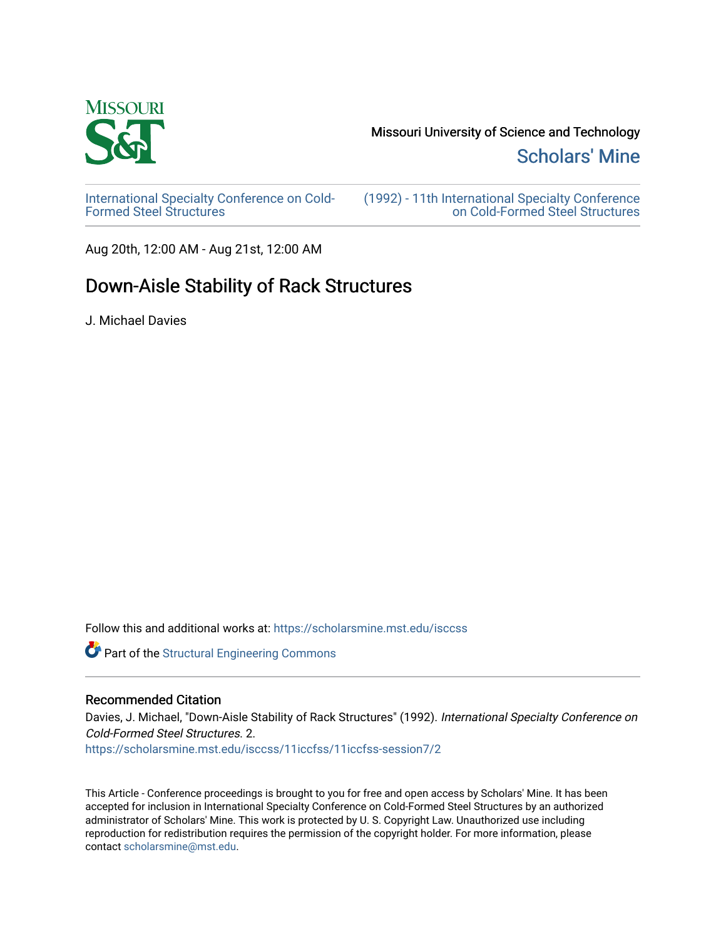

Missouri University of Science and Technology

[Scholars' Mine](https://scholarsmine.mst.edu/) 

[International Specialty Conference on Cold-](https://scholarsmine.mst.edu/isccss)[Formed Steel Structures](https://scholarsmine.mst.edu/isccss) 

[\(1992\) - 11th International Specialty Conference](https://scholarsmine.mst.edu/isccss/11iccfss)  [on Cold-Formed Steel Structures](https://scholarsmine.mst.edu/isccss/11iccfss) 

Aug 20th, 12:00 AM - Aug 21st, 12:00 AM

# Down-Aisle Stability of Rack Structures

J. Michael Davies

Follow this and additional works at: [https://scholarsmine.mst.edu/isccss](https://scholarsmine.mst.edu/isccss?utm_source=scholarsmine.mst.edu%2Fisccss%2F11iccfss%2F11iccfss-session7%2F2&utm_medium=PDF&utm_campaign=PDFCoverPages) 

Part of the [Structural Engineering Commons](http://network.bepress.com/hgg/discipline/256?utm_source=scholarsmine.mst.edu%2Fisccss%2F11iccfss%2F11iccfss-session7%2F2&utm_medium=PDF&utm_campaign=PDFCoverPages) 

# Recommended Citation

Davies, J. Michael, "Down-Aisle Stability of Rack Structures" (1992). International Specialty Conference on Cold-Formed Steel Structures. 2.

[https://scholarsmine.mst.edu/isccss/11iccfss/11iccfss-session7/2](https://scholarsmine.mst.edu/isccss/11iccfss/11iccfss-session7/2?utm_source=scholarsmine.mst.edu%2Fisccss%2F11iccfss%2F11iccfss-session7%2F2&utm_medium=PDF&utm_campaign=PDFCoverPages)

This Article - Conference proceedings is brought to you for free and open access by Scholars' Mine. It has been accepted for inclusion in International Specialty Conference on Cold-Formed Steel Structures by an authorized administrator of Scholars' Mine. This work is protected by U. S. Copyright Law. Unauthorized use including reproduction for redistribution requires the permission of the copyright holder. For more information, please contact [scholarsmine@mst.edu](mailto:scholarsmine@mst.edu).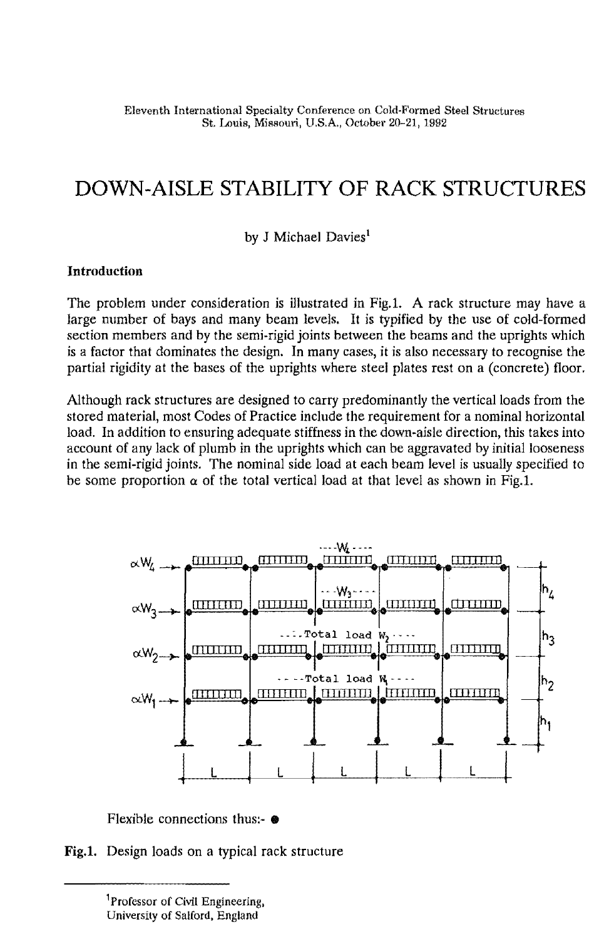# **DOWN-AISLE STABILITY OF RACK STRUCTURES**

by J Michael Davies<sup>1</sup>

### **Introduction**

The problem under consideration is illustrated in Fig.I. A rack structure may have a large number of bays and many beam levels. It is typified by the use of cold-formed section members and by the semi-rigid joints between the beams and the uprights which is a factor that dominates the design. In many cases, it is also necessary to recognise the partial rigidity at the bases of the uprights where steel plates rest on a (concrete) floor.

Although rack structures are designed to carry predominantly the vertical loads from the stored material, most Codes of Practice include the requirement for a nominal horizontal load. In addition to ensuring adequate stiffness in the down-aisle direction, this takes into account of any lack of plumb in the uprights which can be aggravated by initial looseness in the semi-rigid joints. The nominal side load at each beam level is usually specified to be some proportion  $\alpha$  of the total vertical load at that level as shown in Fig.1.



Flexible connections thus:-  $\bullet$ 

**Fig.I.** Design loads on a typical rack structure

<sup>&</sup>lt;sup>1</sup>Professor of Civil Engineering, University of Salford, England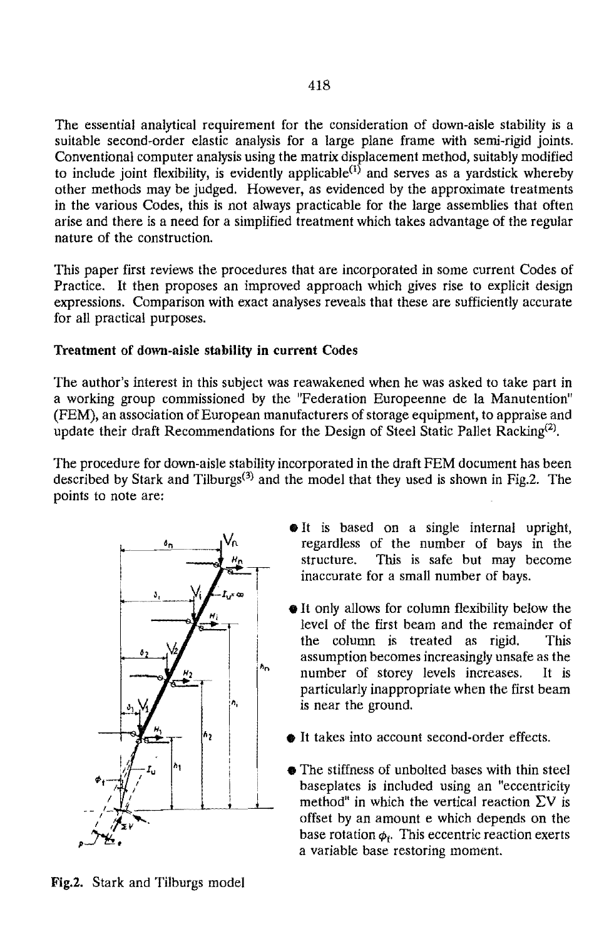The essential analytical requirement for the consideration of down-aisle stability is a suitable second-order elastic analysis for a large plane frame with semi-rigid joints. Conventional computer analysis using the matrix displacement method, suitably modified to include joint flexibility, is evidently applicable<sup>(1)</sup> and serves as a vardstick whereby other methods may be judged. However, as evidenced by the approximate treatments in the various Codes, this is not always practicable for the large assemblies that often arise and there is a need for a simplified treatment which takes advantage of the regular nature of the construction.

This paper first reviews the procedures that are incorporated in some current Codes of Practice. It then proposes an improved approach which gives rise to explicit design expressions. Comparison with exact analyses reveals that these are sufficiently accurate for all practical purposes.

## Treatment of down-aisle stability **in** current Codes

The author's interest in this subject was reawakened when he was asked to take part in a working group commissioned by the "Federation Europeenne de la Manutention" (FEM), an association of European manufacturers of storage equipment, to appraise and update their draft Recommendations for the Design of Steel Static Pallet Racking<sup>(2)</sup>.

The procedure for down-aisle stability incorporated in the draft FEM document has been described by Stark and Tilburgs<sup>(3)</sup> and the model that they used is shown in Fig.2. The points to note are:



- **•**It is based on a single internal upright, regardless of the number of bays in the structure. This is safe but may become inaccurate for a small number of bays.
- It only allows for column flexibility below the level of the first beam and the remainder of the column is treated as rigid. This assumption becomes increasingly unsafe as the number of storey levels increases. It is particularly inappropriate when the first beam is near the ground.
- It takes into account second-order effects.
- The stiffness of unbolted bases with thin steel baseplates is included using an "eccentricity method" in which the vertical reaction  $\Sigma V$  is offset by an amount e which depends on the base rotation  $\phi_r$ . This eccentric reaction exerts a variable base restoring moment.

Fig.2. Stark and Tilburgs model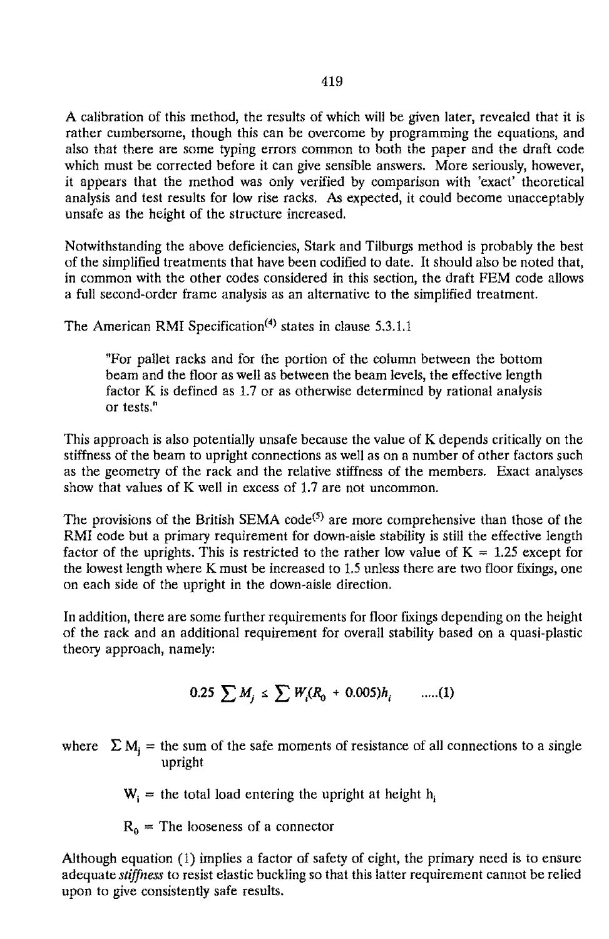A calibration of this method, the results of which will be given later, revealed that it is rather cumbersome, though this can be overcome by programming the equations, and also that there are some typing errors common to both the paper and the draft code which must be corrected before it can give sensible answers. More seriously, however, it appears that the method was only verified by comparison with 'exact' theoretical analysis and test results for low rise racks. As expected, it could become unacceptably unsafe as the height of the structure increased.

Notwithstanding the above deficiencies, Stark and Tilburgs method is probably the best of the simplified treatments that have been codified to date. It should also be noted that, in common with the other codes considered in this section, the draft FEM code allows a full second-order frame analysis as an alternative to the simplified treatment.

The American RMI Specification<sup>(4)</sup> states in clause 5.3.1.1

"For pallet racks and for the portion of the column between the bottom beam and the floor as well as between the beam levels, the effective length factor K is defined as 1.7 or as otherwise determined by rational analysis or tests."

This approach is also potentially unsafe because the value of K depends critically on the stiffness of the beam to upright connections as well as on a number of other factors such as the geometry of the rack and the relative stiffness of the members. Exact analyses show that values of K well in excess of 1.7 are not uncommon.

The provisions of the British SEMA code<sup>(5)</sup> are more comprehensive than those of the RMI code but a primary requirement for down-aisle stability is still the effective length factor of the uprights. This is restricted to the rather low value of  $K = 1.25$  except for the lowest length where K must be increased to 1.5 unless there are two floor fixings, one on each side of the upright in the down-aisle direction.

In addition, there are some further requirements for floor fixings depending on the height of the rack and an additional requirement for overall stability based on a quasi-plastic theory approach, namely:

$$
0.25 \sum M_i \le \sum W_i (R_0 + 0.005) h_i \qquad \dots (1)
$$

where  $\sum M_j$  = the sum of the safe moments of resistance of all connections to a single upright

 $W_i$  = the total load entering the upright at height h

 $R_0$  = The looseness of a connector

Although equation (1) implies a factor of safety of eight, the primary need is to ensure adequate *stiffness* to resist elastic buckling so that this latter requirement cannot be relied upon to give consistently safe results.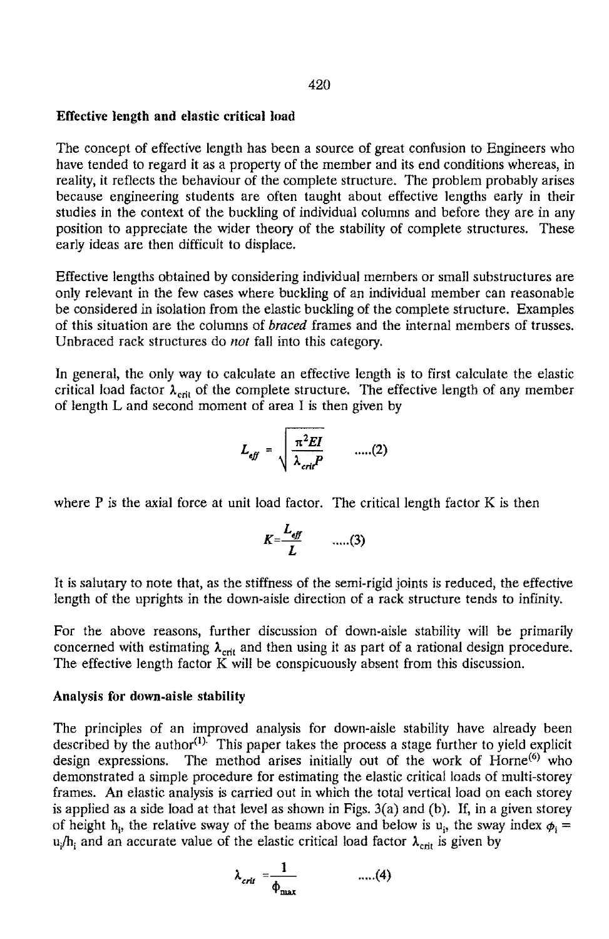#### Effective length and elastic critical load

The concept of effective length has been a source of great confusion to Engineers who have tended to regard it as a property of the member and its end conditions whereas, in reality, it reflects the behaviour of the complete structure. The problem probably arises because engineering students are often taught about effective lengths early in their studies in the context of the buckling of individual columns and before they are in any position to appreciate the wider theory of the stability of complete structures. These early ideas are then difficult to displace.

Effective lengths obtained by considering individual members or small substructures are only relevant in the few cases where buckling of an individual member can reasonable be considered in isolation from the elastic buckling of the complete structure. Examples of this situation are the columns of *braced* frames and the internal members of trusses. Unbraced rack structures do *not* fall into this category.

In general, the only way to calculate an effective length is to first calculate the elastic critical load factor  $\lambda_{\text{crit}}$  of the complete structure. The effective length of any member of length L and second moment of area I is then given by

$$
L_{\text{eff}} = \sqrt{\frac{\pi^2 EI}{\lambda_{\text{crit}} P}} \qquad \dots (2)
$$

where  $P$  is the axial force at unit load factor. The critical length factor  $K$  is then

$$
K=\frac{L_{\text{eff}}}{L} \qquad \qquad \dots (3)
$$

It is salutary to note that, as the stiffness of the semi-rigid joints is reduced, the effective length of the uprights in the down-aisle direction of a rack structure tends to infinity.

For the above reasons, further discussion of down-aisle stability will be primarily concerned with estimating  $\lambda_{\text{crit}}$  and then using it as part of a rational design procedure. The effective length factor K will be conspicuously absent from this discussion.

#### Analysis for down-aisle stability

The principles of an improved analysis for down-aisle stability have already been described by the author $^{(1)}$ . This paper takes the process a stage further to yield explicit design expressions. The method arises initially out of the work of Horne<sup>(6)</sup> who demonstrated a simple procedure for estimating the elastic critical loads of multi-storey frames. An elastic analysis is carried out in which the total vertical load on each storey is applied as a side load at that level as shown in Figs.  $3(a)$  and (b). If, in a given storey of height h<sub>i</sub>, the relative sway of the beams above and below is  $u_i$ , the sway index  $\phi_i =$ u<sub>i</sub>/h<sub>i</sub> and an accurate value of the elastic critical load factor  $\lambda_{crit}$  is given by

$$
\lambda_{crit} = \frac{1}{\phi_{\text{max}}} \qquad \qquad \dots (4)
$$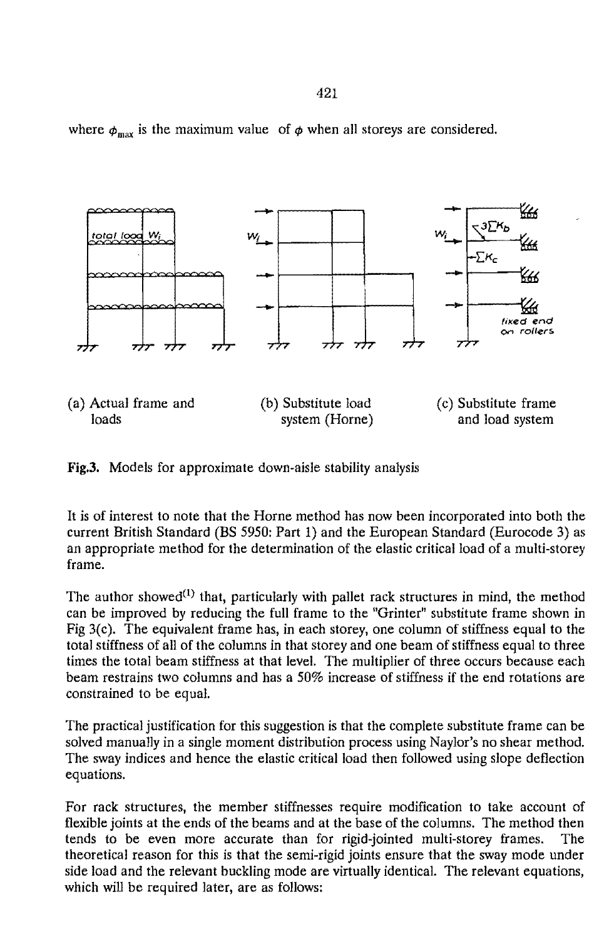where  $\phi_{\text{max}}$  is the maximum value of  $\phi$  when all storeys are considered.



Fig.3. Models for approximate down-aisle stability analysis

It is of interest to note that the Horne method has now been incorporated into both the current British Standard (BS 5950: Part 1) and the European Standard (Eurocode 3) as an appropriate method for the determination of the elastic critical load of a multi-storey frame.

The author showed<sup>(1)</sup> that, particularly with pallet rack structures in mind, the method can be improved by reducing the full frame to the "Grinter" substitute frame shown in Fig  $3(c)$ . The equivalent frame has, in each storey, one column of stiffness equal to the total stiffness of all of the columns in that storey and one beam of stiffness equal to three times the total beam stiffness at that level. The multiplier of three occurs because each beam restrains two columns and has a 50% increase of stiffness if the end rotations are constrained to be equal.

The practical justification for this suggestion is that the complete substitute frame can be solved manually in a single moment distribution process using Naylor's no shear method. The sway indices and hence the elastic critical load then followed using slope deflection equations.

For rack structures, the member stiffnesses require modification to take account of flexible joints at the ends of the beams and at the base of the columns. The method then tends to be even more accurate than for rigid-jointed multi-storey frames. The theoretical reason for this is that the semi-rigid joints ensure that the sway mode under side load and the relevant buckling mode are virtually identical. The relevant equations, which will be required later, are as follows: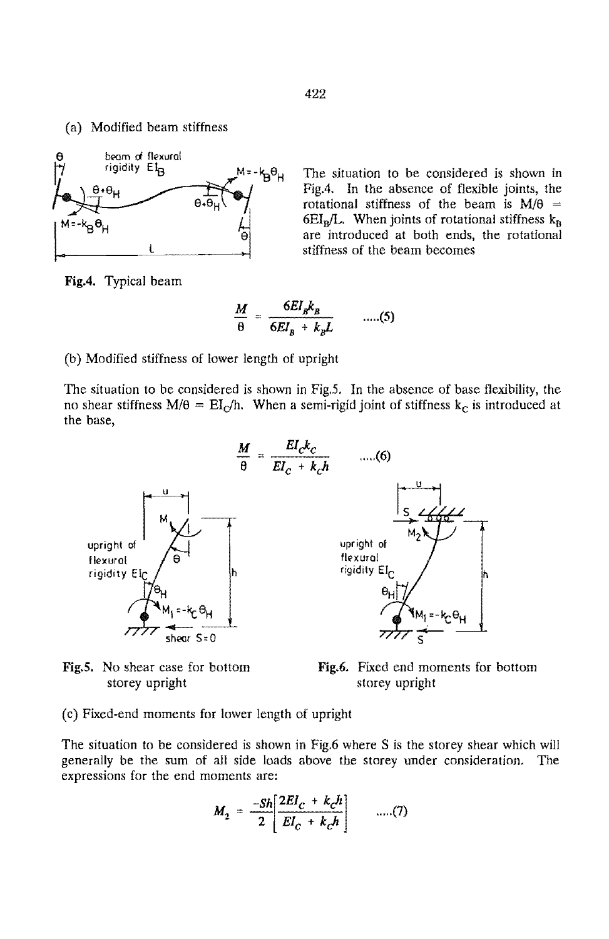(a) Modified beam stiffness



The situation to be considered is shown in Fig.4. In the absence of flexible joints, the rotational stiffness of the beam is *MIa =*   $6EI<sub>B</sub>/L$ . When joints of rotational stiffness  $k<sub>B</sub>$ are introduced at both ends, the rotational stiffness of the beam becomes

Fig.4. Typical beam

$$
\frac{M}{\theta} = \frac{6EI_{B}k_{B}}{6EI_{B} + k_{B}L} \qquad \dots (5)
$$

(b) Modified stiffness of lower length of upright

The situation to be considered is shown in Fig.5. In the absence of base flexibility, the no shear stiffness  $M/\theta = EI_C/h$ . When a semi-rigid joint of stiffness  $k_C$  is introduced at the base,



Fig.S. No shear case for bottom storey upright

Fig.6. Fixed end moments for bottom storey upright

(c) Fixed-end moments for lower length of upright

The situation to be considered is shown in Fig.6 where S is the storey shear which will generally be the sum of all side loads above the storey under consideration. The expressions for the end moments are:

$$
M_2 = \frac{-Sh}{2} \left[ \frac{2EI_c + k_c h}{EI_c + k_c h} \right] \qquad \dots (7)
$$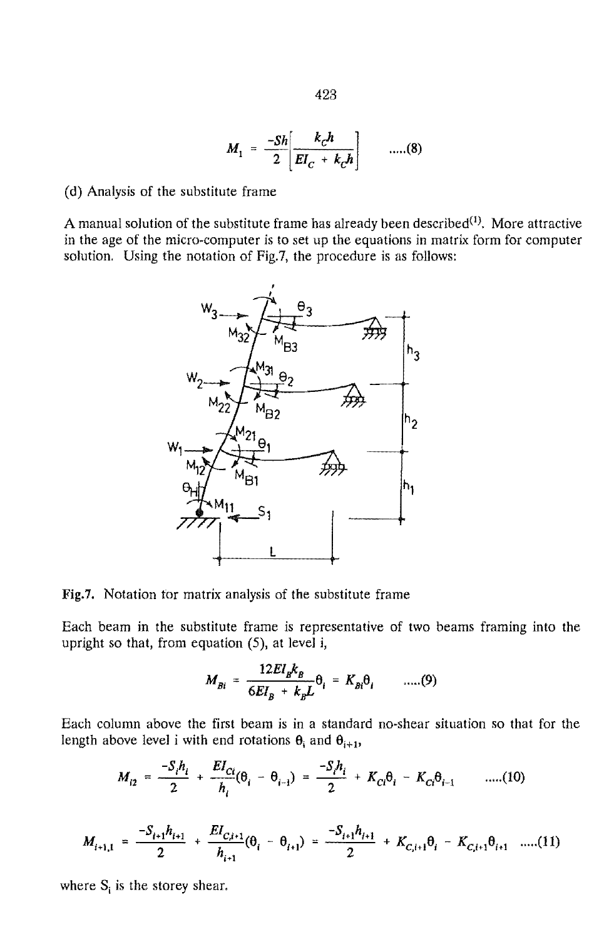$$
M_1 = \frac{-Sh}{2} \left[ \frac{k_c h}{EI_c + k_c h} \right] \qquad \dots (8)
$$

(d) Analysis of the substitute frame

A manual solution of the substitute frame has already been described $^{(1)}$ . More attractive in the age of the micro-computer is to set up the equations in matrix form for computer solution. Using the notation of Fig.7, the procedure is as follows:



Fig.7. Notation for matrix analysis of the substitute frame

Each beam in the substitute frame is representative of two beams framing into the upright so that, from equation  $(5)$ , at level i,

$$
M_{Bi} = \frac{12EI_{B}k_{B}}{6EI_{B} + k_{B}L}\theta_{i} = K_{Bi}\theta_{i} \qquad \dots (9)
$$

Each column above the first beam is in a standard no-shear situation so that for the length above level i with end rotations  $\theta_i$  and  $\theta_{i+1}$ ,

$$
M_{i2} = \frac{-S_i h_i}{2} + \frac{EI_{Ci}}{h_i} (\theta_i - \theta_{i-1}) = \frac{-S_i h_i}{2} + K_{Ci} \theta_i - K_{Ci} \theta_{i-1} \qquad \dots (10)
$$

$$
M_{i+1,1} = \frac{-S_{i+1}h_{i+1}}{2} + \frac{EI_{C,i+1}}{h_{i+1}}(\theta_i - \theta_{i+1}) = \frac{-S_{i+1}h_{i+1}}{2} + K_{C,i+1}\theta_i - K_{C,i+1}\theta_{i+1} \quad ....(11)
$$

where  $S_i$  is the storey shear.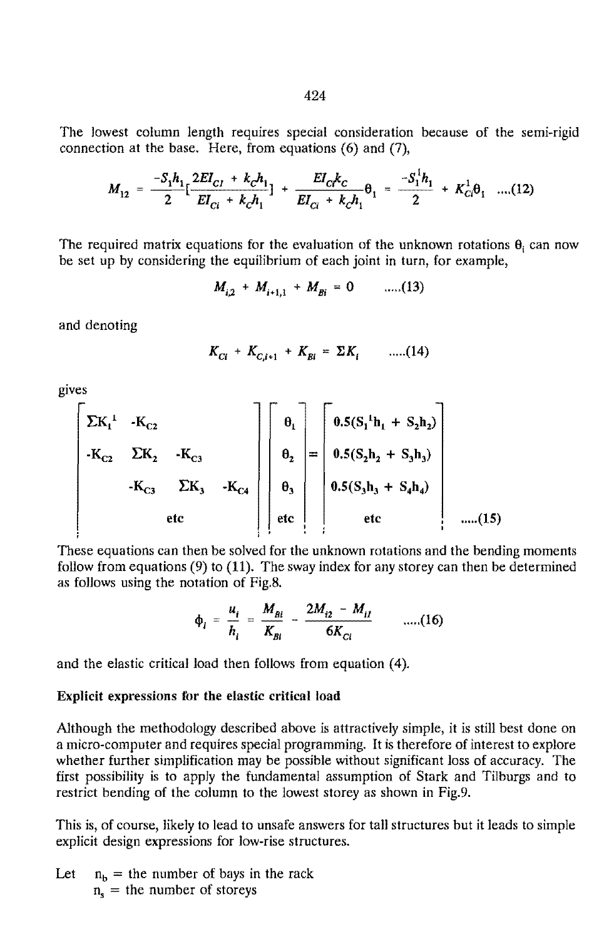The lowest column length requires special consideration because of the semi-rigid connection at the base. Here, from equations (6) and (7),

$$
M_{12} = \frac{-S_1 h_1}{2} \left[ \frac{2EI_{C1} + k_C h_1}{EI_{C1} + k_C h_1} \right] + \frac{EI_C k_C}{EI_{C1} + k_C h_1} \theta_1 = \frac{-S_1^1 h_1}{2} + K_{C1}^1 \theta_1 \quad \dots (12)
$$

The required matrix equations for the evaluation of the unknown rotations  $\theta_i$  can now be set up by considering the equilibrium of each joint in turn, for example,

$$
M_{i2} + M_{i+1,1} + M_{Bi} = 0 \qquad \dots (13)
$$

and denoting

$$
K_{Ci} + K_{c,i+1} + K_{Bi} = \Sigma K_i \qquad \dots (14)
$$

gives

$$
\begin{bmatrix}\n\Sigma K_1^1 & -K_{C2} \\
-K_{C2} & \Sigma K_2 & -K_{C3} \\
-K_{C3} & \Sigma K_3 & -K_{C4} \\
\end{bmatrix}\n\begin{bmatrix}\n\theta_1 \\
\theta_2 \\
\theta_3 \\
\end{bmatrix} = \n\begin{bmatrix}\n0.5(S_1{}^1h_1 + S_2h_2) \\
0.5(S_2h_2 + S_3h_3) \\
0.5(S_3h_3 + S_4h_4)\n\end{bmatrix}
$$
\netc\n(15)

These equations can then be solved for the unknown rotations and the bending moments follow from equations (9) to (11). The sway index for any storey can then be determined as follows using the notation of Fig.8.

$$
\phi_i = \frac{u_i}{h_i} = \frac{M_{Bi}}{K_{Bi}} - \frac{2M_{i2} - M_{ii}}{6K_{Ci}} \qquad \qquad \dots (16)
$$

and the elastic critical load then follows from equation (4).

#### Explicit expressions for the elastic critical load

Although the methodology described above is attractively simple, it is still best done on a micro-computer and requires special programming. It is therefore of interest to explore whether further simplification may be possible without significant loss of accuracy. The first possibility is to apply the fundamental assumption of Stark and Tilburgs and to restrict bending of the column to the lowest storey as shown in Fig.9.

This is, of course, likely to lead to unsafe answers for tall structures but it leads to simple explicit design expressions for low-rise structures.

Let  $n_b =$  the number of bays in the rack  $n_{s}$  = the number of storeys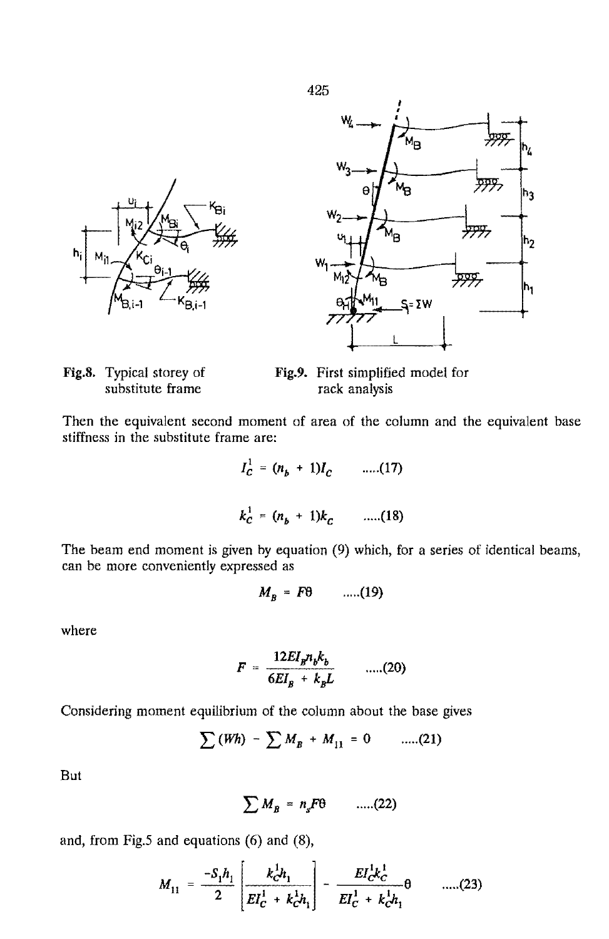



Έŕ

Fig.9. First simplified model for rack analysis

Then the equivalent second moment of area of the column and the equivalent base stiffness in the substitute frame are:

$$
I_C^1 = (n_b + 1)I_C
$$
 ....(17)  

$$
k_C^1 = (n_b + 1)k_C
$$
 ....(18)

The beam end moment is given by equation (9) which, for a series of identical beams, can be more conveniently expressed as

$$
M_B = F\theta \qquad \qquad \ldots (19)
$$

where

$$
F = \frac{12EI_p n_b k_b}{6EI_B + k_b L} \qquad \dots (20)
$$

Considering moment equilibrium of the column about the base gives

$$
\sum (Wh) - \sum M_B + M_{11} = 0 \qquad \dots (21)
$$

But

$$
\sum M_B = n_s F \theta \qquad \dots (22)
$$

and, from Fig.S and equations (6) and (8),

$$
M_{11} = \frac{-S_1 h_1}{2} \left[ \frac{k_c^1 h_1}{EI_c^1 + k_c^1 h_1} \right] - \frac{EI_c^1 k_c^1}{EI_c^1 + k_c^1 h_1} \theta \qquad \dots (23)
$$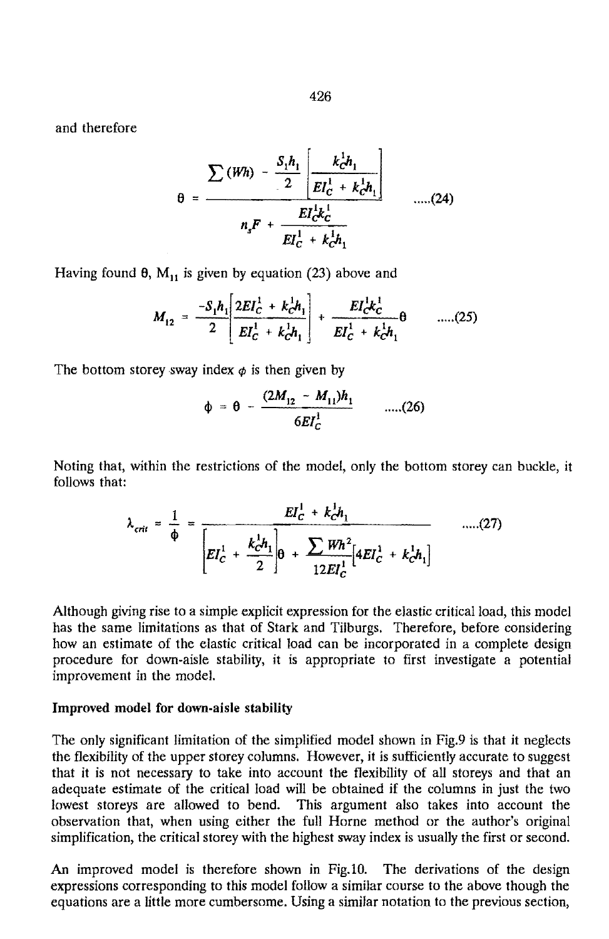and therefore

$$
\theta = \frac{\sum (Wh) - \frac{S_1 h_1}{2} \left| \frac{k_c^1 h_1}{EI_c^1 + k_c^1 h_1} \right|}{n_s F + \frac{EI_c^1 k_c^1}{EI_c^1 + k_c^1 h_1}} \qquad \qquad \dots (24)
$$

Having found  $\theta$ , M<sub>11</sub> is given by equation (23) above and

$$
M_{12} = \frac{-S_1 h_1}{2} \left[ \frac{2EI_C^1 + k_C^1 h_1}{EI_C^1 + k_C^1 h_1} \right] + \frac{EI_C^1 k_C^1}{EI_C^1 + k_C^1 h_1} \theta \qquad \dots (25)
$$

The bottom storey sway index  $\phi$  is then given by

$$
\phi = \theta - \frac{(2M_{12} - M_{11})h_1}{6EI_c^1} \qquad \qquad \dots (26)
$$

Noting that, within the restrictions of the model, only the bottom storey can buckle, it follows that:

$$
\lambda_{crit} = \frac{1}{\phi} = \frac{EI_C^1 + k_C^1 h_1}{\left[EI_C^1 + \frac{k_C^1 h_1}{2}\right] \theta + \frac{\sum W h^2}{12 E I_C^1} \left[4 E I_C^1 + k_C^1 h_1\right]} \qquad \qquad \dots (27)
$$

Although giving rise to a simple explicit expression for the elastic critical load, this model has the same limitations as that of Stark and Tilburgs. Therefore, before considering how an estimate of the elastic critical load can be incorporated in a complete design procedure for down-aisle stability, it is appropriate to first investigate a potential improvement in the model.

#### Improved model for down-aisle stability

The only significant limitation of the simplified model shown in Fig.9 is that it neglects the flexibility of the upper storey columns. However, it is sufficiently accurate to suggest that it is not necessary to take into account the flexibility of all storeys and that an adequate estimate of the critical load will be obtained if the columns in just the two lowest storeys are allowed to bend. This argument also takes into account the observation that, when using either the full Horne method or the author's original simplification, the critical storey with the highest sway index is usually the first or second.

An improved model is therefore shown in Fig. 10. The derivations of the design expressions corresponding to this model follow a similar course to the above though the equations are a little more cumbersome. Using a similar notation to the previous section,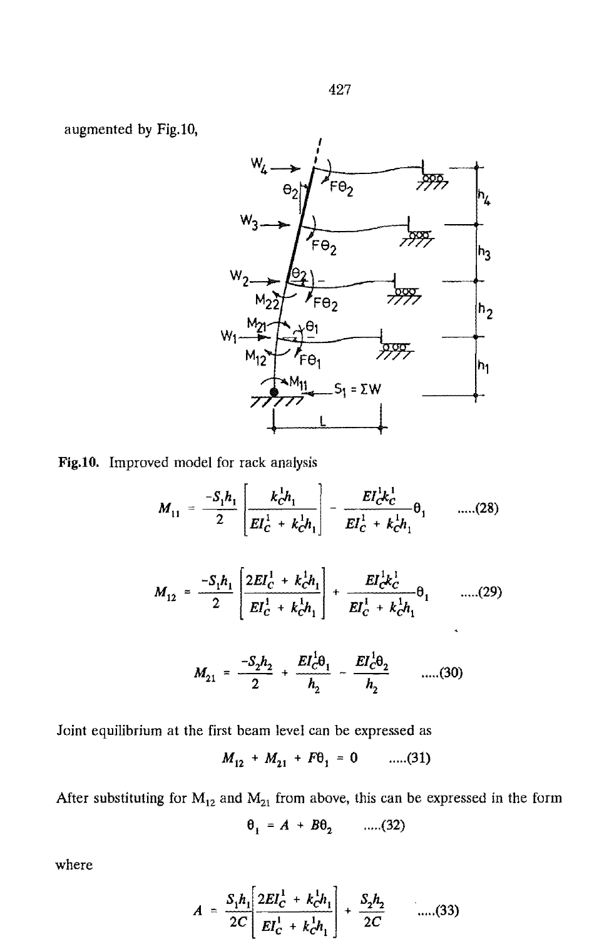

Fig.10. Improved model for rack analysis

$$
M_{11} = \frac{-S_1 h_1}{2} \left[ \frac{k_c^1 h_1}{EI_c^1 + k_c^1 h_1} \right] - \frac{EI_c^1 k_c^1}{EI_c^1 + k_c^1 h_1} \theta_1 \qquad \dots (28)
$$
  

$$
M_{12} = \frac{-S_1 h_1}{2} \left[ \frac{2EI_c^1 + k_c^1 h_1}{EI_c^1 + k_c^1 h_1} \right] + \frac{EI_c^1 k_c^1}{EI_c^1 + k_c^1 h_1} \theta_1 \qquad \dots (29)
$$
  

$$
M_{21} = \frac{-S_2 h_2}{2} + \frac{EI_c^1 \theta_1}{h_2} - \frac{EI_c^1 \theta_2}{h_2} \qquad \dots (30)
$$

Joint equilibrium at the first beam level can be expressed as

$$
M_{12} + M_{21} + F\theta_1 = 0 \qquad \dots (31)
$$

After substituting for  $M_{12}$  and  $M_{21}$  from above, this can be expressed in the form

$$
\theta_1 = A + B\theta_2 \qquad \dots (32)
$$

where

$$
A = \frac{S_1 h_1}{2C} \left[ \frac{2EI_C^1 + k_C^1 h_1}{EI_C^1 + k_C^1 h_1} \right] + \frac{S_2 h_2}{2C} \qquad \dots (33)
$$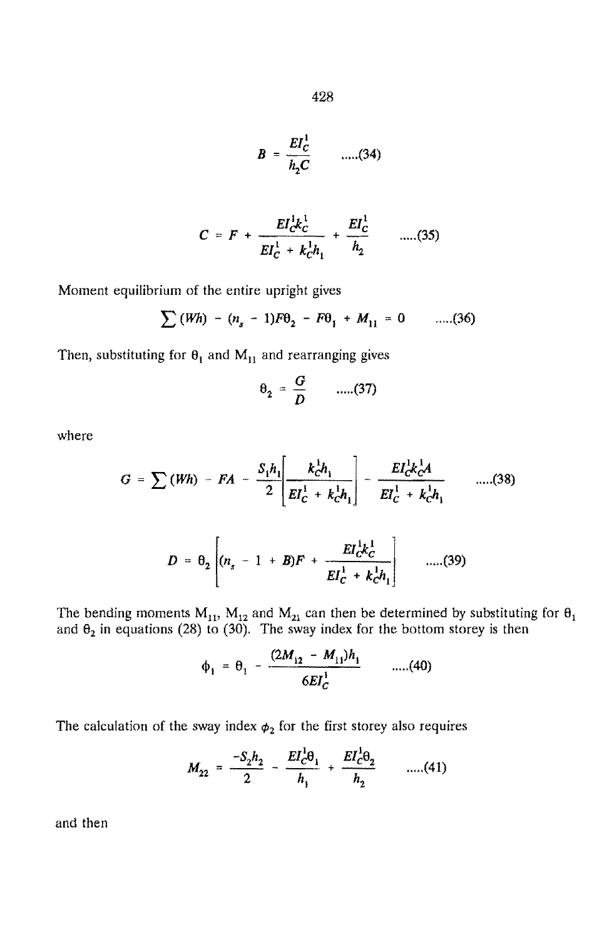$$
B = \frac{EI_C^1}{h_2 C} \qquad \dots (34)
$$

$$
C = F + \frac{EI_{C}^{1}k_{C}^{1}}{EI_{C}^{1} + k_{C}^{1}h_{1}} + \frac{EI_{C}^{1}}{h_{2}} \qquad \qquad \ldots \ldots \text{(35)}
$$

Moment equilibrium of the entire upright gives

$$
\sum (Wh) - (n_s - 1)F\Theta_2 - F\Theta_1 + M_{11} = 0 \qquad \dots (36)
$$

Then, substituting for  $\theta_1$  and  $M_{11}$  and rearranging gives

$$
\theta_2 = \frac{G}{D} \qquad \dots (37)
$$

where  

$$
G = \sum (Wh) - FA - \frac{S_1 h_1}{2} \left[ \frac{k_0^1 h_1}{EI_C^1 + k_0^1 h_1} \right] - \frac{EI_C^1 k_0^1 A_1}{EI_C^1 + k_0^1 h_1} \qquad \dots (38)
$$

$$
D = \theta_2 \left[ (n_s - 1 + B)F + \frac{EI_C^1 k_C^1}{EI_C^1 + k_C^1 h_1} \right] \qquad \dots (39)
$$

The bending moments  $M_{11}$ ,  $M_{12}$  and  $M_{21}$  can then be determined by substituting for  $\theta_1$ and  $\theta_2$  in equations (28) to (30). The sway index for the bottom storey is then

$$
\phi_1 = \theta_1 - \frac{(2M_{12} - M_{11})h_1}{6EI_C^1} \qquad \qquad \dots (40)
$$

The calculation of the sway index  $\phi_2$  for the first storey also requires

$$
M_{22} = \frac{-S_2 h_2}{2} - \frac{EI_c^1 \theta_1}{h_1} + \frac{EI_c^1 \theta_2}{h_2} \qquad \dots (41)
$$

and then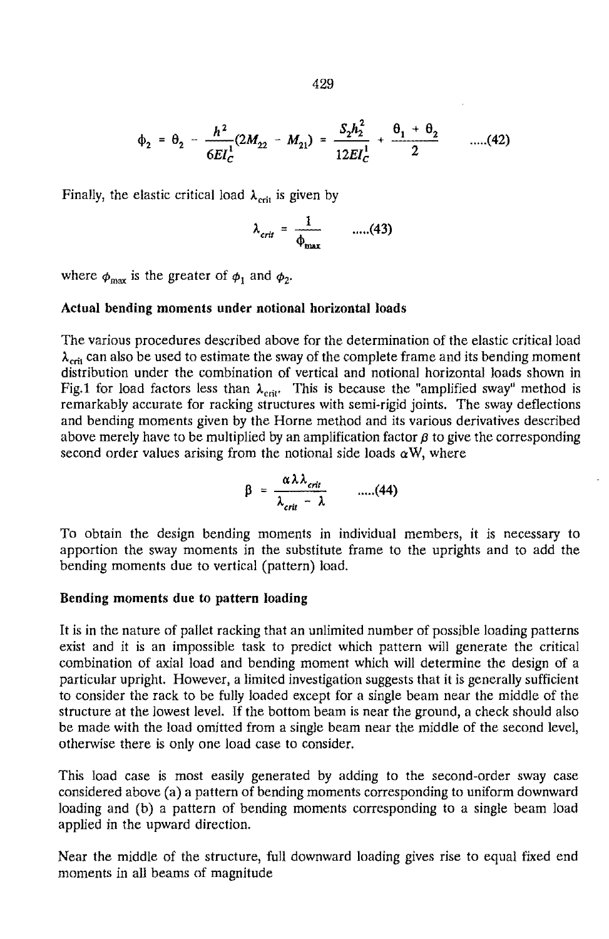$$
429\,
$$

$$
\phi_2 = \theta_2 - \frac{h^2}{6EI_C^1}(2M_{22} - M_{21}) = \frac{S_2h_2^2}{12EI_C^1} + \frac{\theta_1 + \theta_2}{2} \qquad \dots (42)
$$

 $\overline{a}$ 

Finally, the elastic critical load  $\lambda_{\rm crit}$  is given by

$$
\lambda_{crit} = \frac{1}{\phi_{\text{max}}} \qquad \dots (43)
$$

where  $\phi_{\text{max}}$  is the greater of  $\phi_1$  and  $\phi_2$ .

#### Actual bending moments under notional horizontal loads

The various procedures described above for the determination of the elastic critical load  $\lambda_{\text{crit}}$  can also be used to estimate the sway of the complete frame and its bending moment distribution under the combination of vertical and notional horizontal loads shown in Fig.1 for load factors less than  $\lambda_{\text{crit}}$ . This is because the "amplified sway" method is remarkably accurate for racking structures with semi-rigid joints. The sway deflections and bending moments given by the Horne method and its various derivatives described above merely have to be multiplied by an amplification factor  $\beta$  to give the corresponding second order values arising from the notional side loads  $\alpha W$ , where

$$
\beta = \frac{\alpha \lambda \lambda_{crit}}{\lambda_{crit} - \lambda} \qquad \ldots (44)
$$

To obtain the design bending moments in individual members, it is necessary to apportion the sway moments in the substitute frame to the uprights and to add the bending moments due to vertical (pattern) load.

#### Bending moments due to pattern loading

It is in the nature of pallet racking that an unlimited number of possible loading patterns exist and it is an impossible task to predict which pattern will generate the critical combination of axial load and bending moment which will determine the design of a particular upright. However, a limited investigation suggests that it is generally sufficient to consider the rack to be fully loaded except for a single beam near the middle of the structure at the lowest level. If the bottom beam is near the ground, a check should also be made with the load omitted from a single beam near the middle of the second level, otherwise there is only one load case to consider.

This load case is most easily generated by adding to the second-order sway case considered above (a) a pattern of bending moments corresponding to uniform downward loading and (b) a pattern of bending moments corresponding to a single beam load applied in the upward direction.

Near the middle of the structure, full downward loading gives rise to equal fixed end moments in all beams of magnitude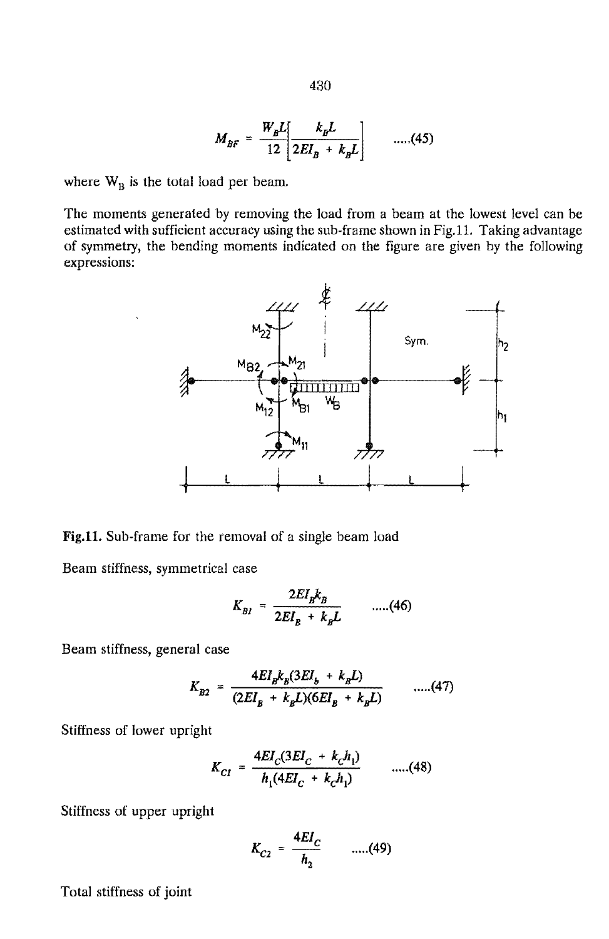$\frac{W_B L}{12} \frac{k_B L}{2EI_B + k_B L}$  .....(45)

where  $W_B$  is the total load per beam.

The moments generated by removing the load from a beam at the lowest level can be estimated with sufficient accuracy using the sub-frame shown in Fig.1l. Taking advantage of symmetry, the bending moments indicated on the figure are given by the following expressions:



Fig.11. Sub-frame for the removal of a single beam load

Beam stiffness, symmetrical case

$$
K_{BI} = \frac{2EI_{B}k_{B}}{2EI_{B} + k_{B}L} \qquad \dots (46)
$$

Beam stiffness, general case

$$
K_{B2} = \frac{4EI_{B}k_{B}(3EI_{b} + k_{B}L)}{(2EI_{B} + k_{B}L)(6EI_{B} + k_{B}L)} \qquad \dots (47)
$$

Stiffness of lower upright

$$
K_{CI} = \frac{4EI_C(3EI_C + k_Ch_1)}{h_1(4EI_C + k_Ch_1)} \qquad \dots (48)
$$

Stiffness of upper upright

$$
K_{C2} = \frac{4EI_C}{h_2} \qquad \dots (49)
$$

Total stiffness of joint

430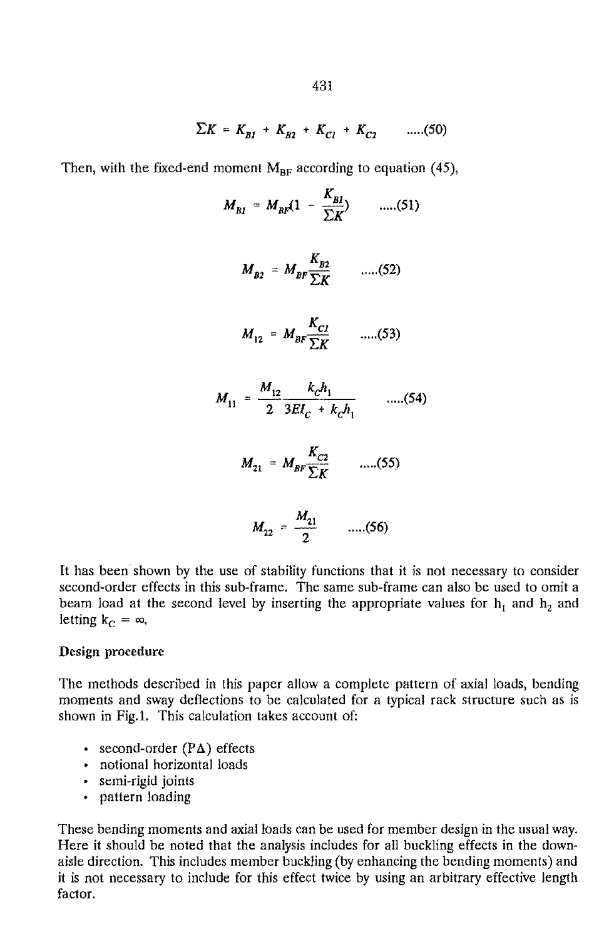$$
\Sigma K = K_{BI} + K_{B2} + K_{C1} + K_{C2} \qquad \qquad \ldots \qquad (50)
$$

Then, with the fixed-end moment  $M_{BF}$  according to equation (45),

$$
M_{BI} = M_{BF} (1 - \frac{K_{BI}}{\sum K})
$$
 .....(51)  

$$
M_{B2} = M_{BF} \frac{K_{B2}}{\sum K}
$$
 .....(52)  

$$
M_{12} = M_{BF} \frac{K_{C1}}{\sum K}
$$
 .....(53)  

$$
M_{11} = \frac{M_{12}}{2} \frac{k_{C}h_{1}}{3EI_{C} + k_{C}h_{1}}
$$
 .....(54)  

$$
M_{21} = M_{BF} \frac{K_{C2}}{\sum K}
$$
 .....(55)

$$
M_{22} = \frac{M_{21}}{2} \qquad \dots (56)
$$

It has been shown by the use of stability functions that it is not necessary to consider second-order effects in this sub-frame. The same sub-frame can also be used to omit a beam load at the second level by inserting the appropriate values for  $h_1$  and  $h_2$  and letting  $k_C = \infty$ ,

#### Design procedure

The methods described in this paper allow a complete pattern of axial loads, bending moments and sway deflections to be calculated for a typical rack structure such as is shown in Fig.I. This calculation takes account of:

- second-order  $(P\Delta)$  effects
- notional horizontal loads
- semi-rigid joints
- pattern loading

These bending moments and axial loads can be used for member design in the usual way. Here it should be noted that the analysis includes for all buckling effects in the downaisle direction. This includes member buckling (by enhancing the bending moments) and it is not necessary to include for this effect twice by using an arbitrary effective length factor.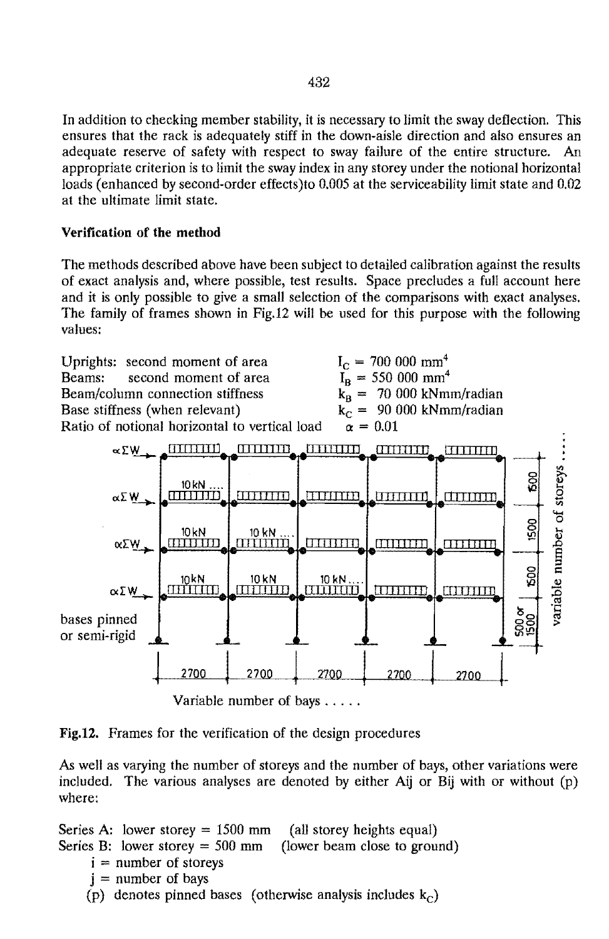In addition to checking member stability, it is necessary to limit the sway deflection. This ensures that the rack is adequately stiff in the down-aisle direction and also ensures an adequate reserve of safety with respect to sway failure of the entire structure. An appropriate criterion is to limit the sway index in any storey under the notional horizontal loads (enhanced by second-order effects)to 0.005 at the serviceability limit state and 0.02 at the ultimate limit state.

# Verification of the method

The methods described above have been subject to detailed calibration against the results of exact analysis and, where possible, test results. Space precludes a full account here and it is only possible to give a small selection of the comparisons with exact analyses. The family of frames shown in Fig.12 will be used for this purpose with the following values:



Variable number of bays .....

Fig.12. Frames for the verification of the design procedures

As well as varying the number of storeys and the number of bays, other variations were included. The various analyses are denoted by either Aij or Bij with or without (p) where:

Series A: lower storey  $= 1500$  mm (all storey heights equal) Series B: lower storey  $= 500$  mm (lower beam close to ground)  $i =$  number of storeys  $j =$  number of bays (p) denotes pinned bases (otherwise analysis includes  $k_c$ )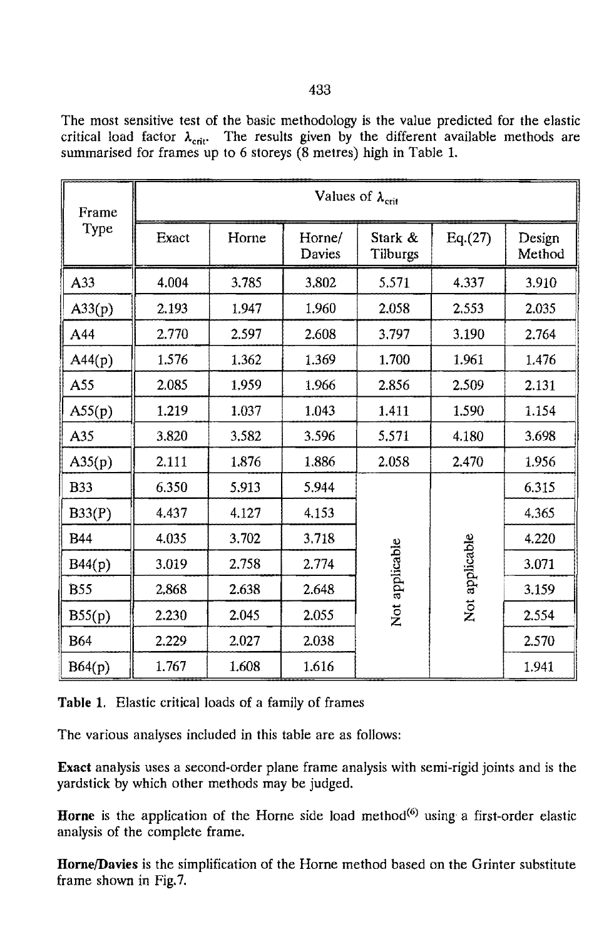The most sensitive test of the basic methodology is the value predicted for the elastic critical load factor  $\lambda_{\text{crit}}$ . The results given by the different available methods are summarised for frames up to 6 storeys (8 metres) high in Table 1.

| Frame<br>Type | Values of $\lambda_{\text{crit}}$ |       |                  |                                  |          |                  |
|---------------|-----------------------------------|-------|------------------|----------------------------------|----------|------------------|
|               | Exact                             | Horne | Horne/<br>Davies | Stark &<br>Tilburgs              | Eq. (27) | Design<br>Method |
| A33           | 4.004                             | 3.785 | 3,802            | 5.571                            | 4.337    | 3.910            |
| A33(p)        | 2.193                             | 1.947 | 1.960            | 2.058                            | 2.553    | 2.035            |
| A44           | 2.770                             | 2.597 | 2.608            | 3,797                            | 3.190    | 2.764            |
| A44(p)        | 1.576                             | 1.362 | 1.369            | 1.700                            | 1.961    | 1.476            |
| A55           | 2.085                             | 1.959 | 1.966            | 2.856                            | 2.509    | 2.131            |
| A55(p)        | 1.219                             | 1.037 | 1.043            | 1.411                            | 1.590    | 1.154            |
| A35           | 3.820                             | 3.582 | 3.596            | 5.571                            | 4.180    | 3.698            |
| A35(p)        | 2.111                             | 1.876 | 1.886            | 2.058                            | 2.470    | 1.956            |
| <b>B33</b>    | 6.350                             | 5.913 | 5.944            | Not applicable<br>Not applicable |          | 6.315            |
| B33(P)        | 4.437                             | 4.127 | 4.153            |                                  |          | 4.365            |
| <b>B44</b>    | 4.035                             | 3.702 | 3.718            |                                  |          | 4.220            |
| B44(p)        | 3.019                             | 2.758 | 2.774            |                                  |          | 3.071            |
| <b>B55</b>    | 2.868                             | 2.638 | 2.648            |                                  |          | 3.159            |
| B55(p)        | 2.230                             | 2.045 | 2.055            |                                  |          | 2.554            |
| <b>B64</b>    | 2.229                             | 2.027 | 2.038            |                                  |          | 2.570            |
| B64(p)        | 1.767                             | 1.608 | 1.616            |                                  |          | 1.941            |

**Table** 1. Elastic critical loads of a family of frames

The various analyses included in this table are as follows:

**Exact** analysis uses a second-order plane frame analysis with semi-rigid joints and is the yardstick by which other methods may be judged.

**Horne** is the application of the Horne side load method<sup>(6)</sup> using a first-order elastic analysis of the complete frame.

Horne/Davies is the simplification of the Horne method based on the Grinter substitute frame shown in Fig.7.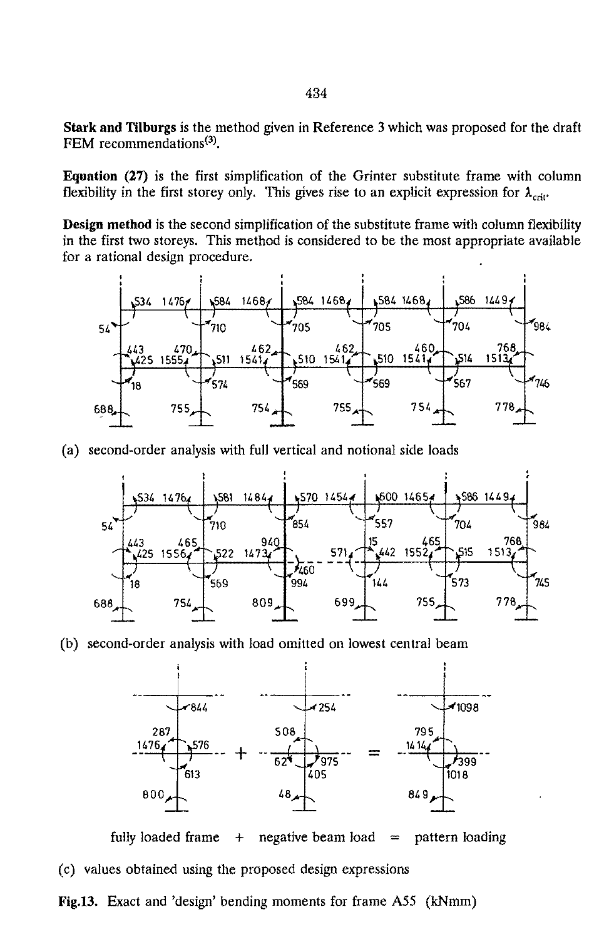**Stark and Tilhurgs** is the method given in Reference 3 which was proposed for the draft FEM recommendations<sup>(3)</sup>.

**Equation** (27) is the first simplification of the Grinter substitute frame with column flexibility in the first storey only. This gives rise to an explicit expression for  $\lambda_{crit}$ .

Design method is the second simplification of the substitute frame with column flexibility in the first two storeys. This method is considered to be the most appropriate available for a rational design procedure.



(a) second-order analysis with full vertical and notional side loads



(b) second-order analysis with load omitted on lowest central beam



fully loaded frame  $+$  negative beam load  $=$  pattern loading (c) values obtained using the proposed design expressions

Fig.13. Exact and 'design' bending moments for frame ASS (kNmm)